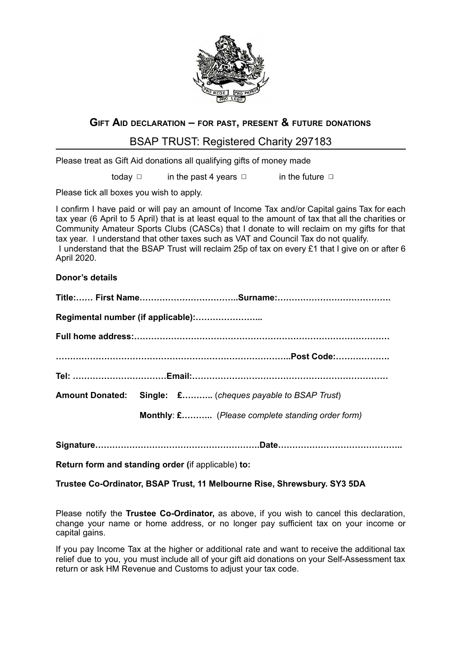

## **G IFT A ID DECLARATION – FOR PAST , PRESENT & FUTURE DONATIONS**

## BSAP TRUST: Registered Charity 297183

Please treat as Gift Aid donations all qualifying gifts of money made

today  $\Box$  in the past 4 years  $\Box$  in the future  $\Box$ 

Please tick all boxes you wish to apply.

I confirm I have paid or will pay an amount of Income Tax and/or Capital gains Tax for each tax year (6 April to 5 April) that is at least equal to the amount of tax that all the charities or Community Amateur Sports Clubs (CASCs) that I donate to will reclaim on my gifts for that tax year. I understand that other taxes such as VAT and Council Tax do not qualify. I understand that the BSAP Trust will reclaim 25p of tax on every £1 that I give on or after 6 April 2020.

**Donor's details** 

|  | Amount Donated: Single: £ (cheques payable to BSAP Trust) |
|--|-----------------------------------------------------------|
|  | Monthly: £ (Please complete standing order form)          |

**Signature………………………………………………….Date……………………………………..** 

**Return form and standing order (if applicable) to:** 

**Trustee Co-Ordinator, BSAP Trust, 11 Melbourne Rise, Shrewsbury. SY3 5DA** 

Please notify the **Trustee Co-Ordinator,** as above, if you wish to cancel this declaration, change your name or home address, or no longer pay sufficient tax on your income or capital gains.

If you pay Income Tax at the higher or additional rate and want to receive the additional tax relief due to you, you must include all of your gift aid donations on your Self-Assessment tax return or ask HM Revenue and Customs to adjust your tax code.